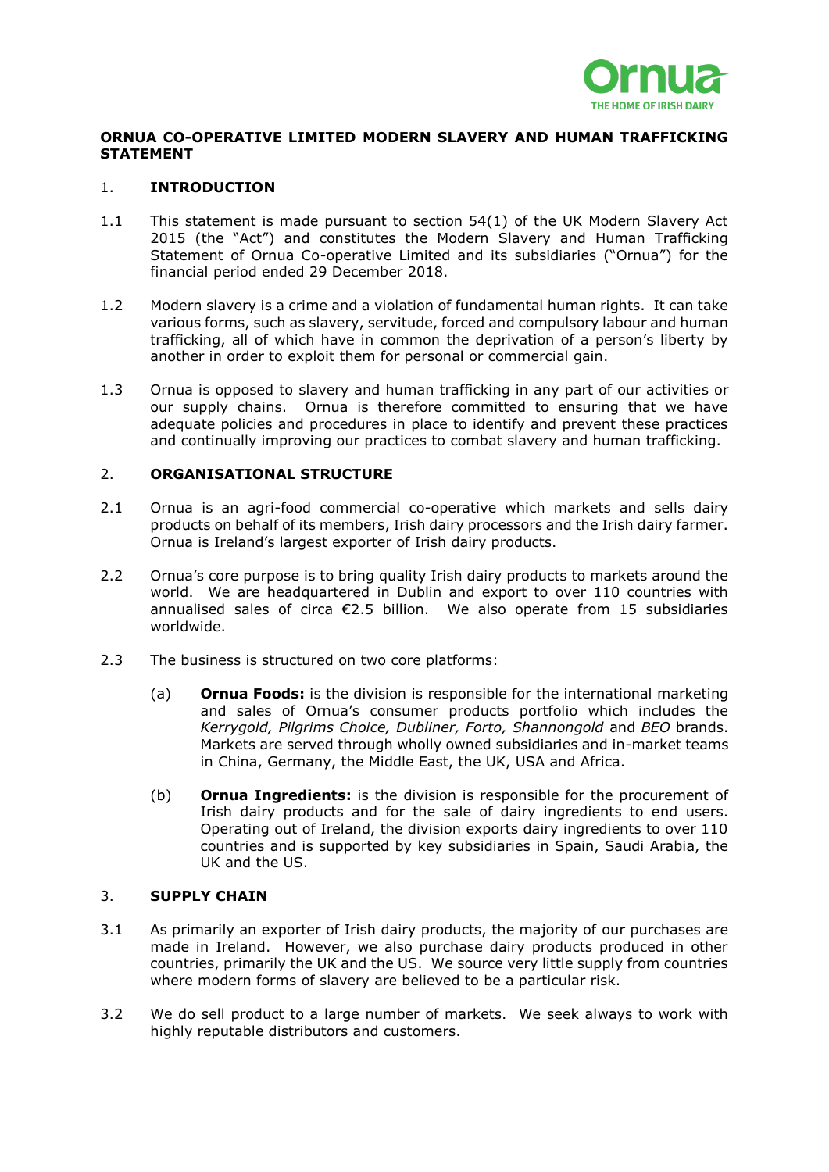

# **ORNUA CO-OPERATIVE LIMITED MODERN SLAVERY AND HUMAN TRAFFICKING STATEMENT**

## 1. **INTRODUCTION**

- 1.1 This statement is made pursuant to section 54(1) of the UK Modern Slavery Act 2015 (the "Act") and constitutes the Modern Slavery and Human Trafficking Statement of Ornua Co-operative Limited and its subsidiaries ("Ornua") for the financial period ended 29 December 2018.
- 1.2 Modern slavery is a crime and a violation of fundamental human rights. It can take various forms, such as slavery, servitude, forced and compulsory labour and human trafficking, all of which have in common the deprivation of a person's liberty by another in order to exploit them for personal or commercial gain.
- 1.3 Ornua is opposed to slavery and human trafficking in any part of our activities or our supply chains. Ornua is therefore committed to ensuring that we have adequate policies and procedures in place to identify and prevent these practices and continually improving our practices to combat slavery and human trafficking.

### 2. **ORGANISATIONAL STRUCTURE**

- 2.1 Ornua is an agri-food commercial co-operative which markets and sells dairy products on behalf of its members, Irish dairy processors and the Irish dairy farmer. Ornua is Ireland's largest exporter of Irish dairy products.
- 2.2 Ornua's core purpose is to bring quality Irish dairy products to markets around the world. We are headquartered in Dublin and export to over 110 countries with annualised sales of circa €2.5 billion. We also operate from 15 subsidiaries worldwide.
- 2.3 The business is structured on two core platforms:
	- (a) **Ornua Foods:** is the division is responsible for the international marketing and sales of Ornua's consumer products portfolio which includes the *Kerrygold, Pilgrims Choice, Dubliner, Forto, Shannongold* and *BEO* brands. Markets are served through wholly owned subsidiaries and in-market teams in China, Germany, the Middle East, the UK, USA and Africa.
	- (b) **Ornua Ingredients:** is the division is responsible for the procurement of Irish dairy products and for the sale of dairy ingredients to end users. Operating out of Ireland, the division exports dairy ingredients to over 110 countries and is supported by key subsidiaries in Spain, Saudi Arabia, the UK and the US.

### 3. **SUPPLY CHAIN**

- 3.1 As primarily an exporter of Irish dairy products, the majority of our purchases are made in Ireland. However, we also purchase dairy products produced in other countries, primarily the UK and the US. We source very little supply from countries where modern forms of slavery are believed to be a particular risk.
- 3.2 We do sell product to a large number of markets. We seek always to work with highly reputable distributors and customers.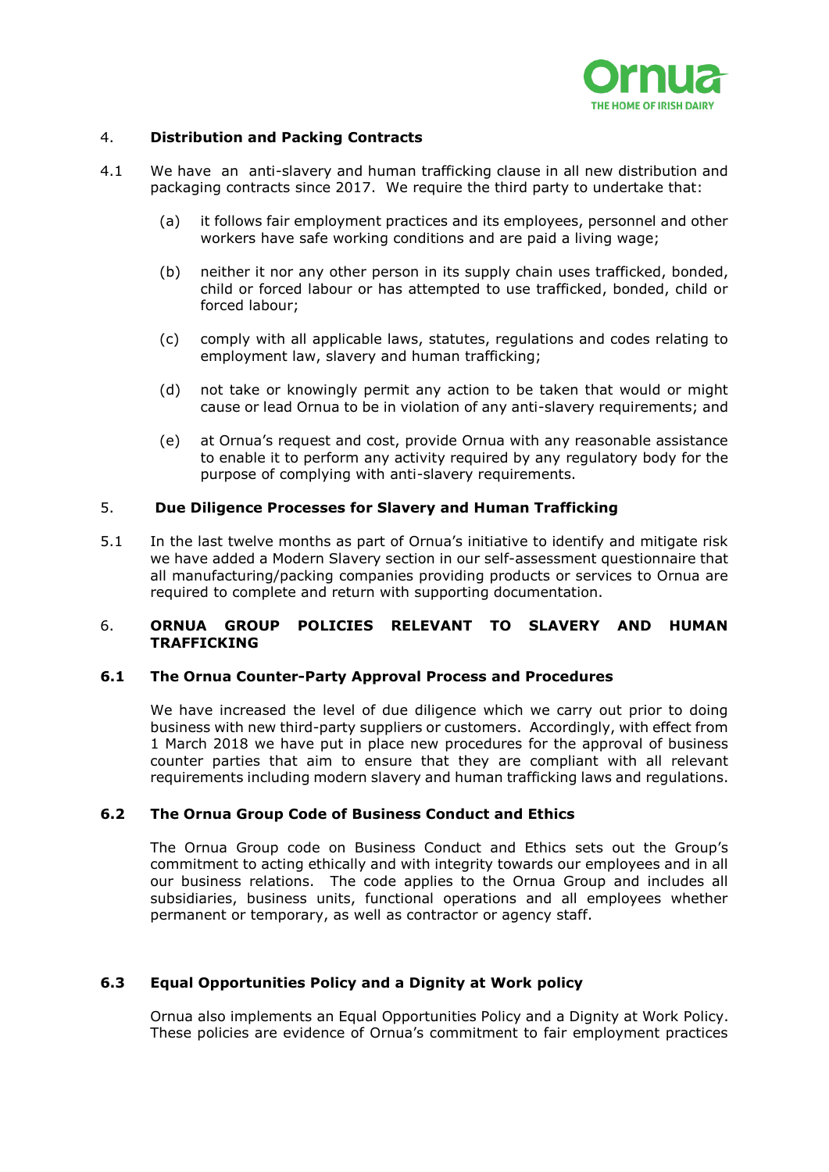

## 4. **Distribution and Packing Contracts**

- 4.1 We have an anti-slavery and human trafficking clause in all new distribution and packaging contracts since 2017. We require the third party to undertake that:
	- (a) it follows fair employment practices and its employees, personnel and other workers have safe working conditions and are paid a living wage;
	- (b) neither it nor any other person in its supply chain uses trafficked, bonded, child or forced labour or has attempted to use trafficked, bonded, child or forced labour;
	- (c) comply with all applicable laws, statutes, regulations and codes relating to employment law, slavery and human trafficking;
	- (d) not take or knowingly permit any action to be taken that would or might cause or lead Ornua to be in violation of any anti-slavery requirements; and
	- (e) at Ornua's request and cost, provide Ornua with any reasonable assistance to enable it to perform any activity required by any regulatory body for the purpose of complying with anti-slavery requirements.

### 5. **Due Diligence Processes for Slavery and Human Trafficking**

5.1 In the last twelve months as part of Ornua's initiative to identify and mitigate risk we have added a Modern Slavery section in our self-assessment questionnaire that all manufacturing/packing companies providing products or services to Ornua are required to complete and return with supporting documentation.

### 6. **ORNUA GROUP POLICIES RELEVANT TO SLAVERY AND HUMAN TRAFFICKING**

### **6.1 The Ornua Counter-Party Approval Process and Procedures**

We have increased the level of due diligence which we carry out prior to doing business with new third-party suppliers or customers. Accordingly, with effect from 1 March 2018 we have put in place new procedures for the approval of business counter parties that aim to ensure that they are compliant with all relevant requirements including modern slavery and human trafficking laws and regulations.

### **6.2 The Ornua Group Code of Business Conduct and Ethics**

The Ornua Group code on Business Conduct and Ethics sets out the Group's commitment to acting ethically and with integrity towards our employees and in all our business relations. The code applies to the Ornua Group and includes all subsidiaries, business units, functional operations and all employees whether permanent or temporary, as well as contractor or agency staff.

# **6.3 Equal Opportunities Policy and a Dignity at Work policy**

Ornua also implements an Equal Opportunities Policy and a Dignity at Work Policy. These policies are evidence of Ornua's commitment to fair employment practices